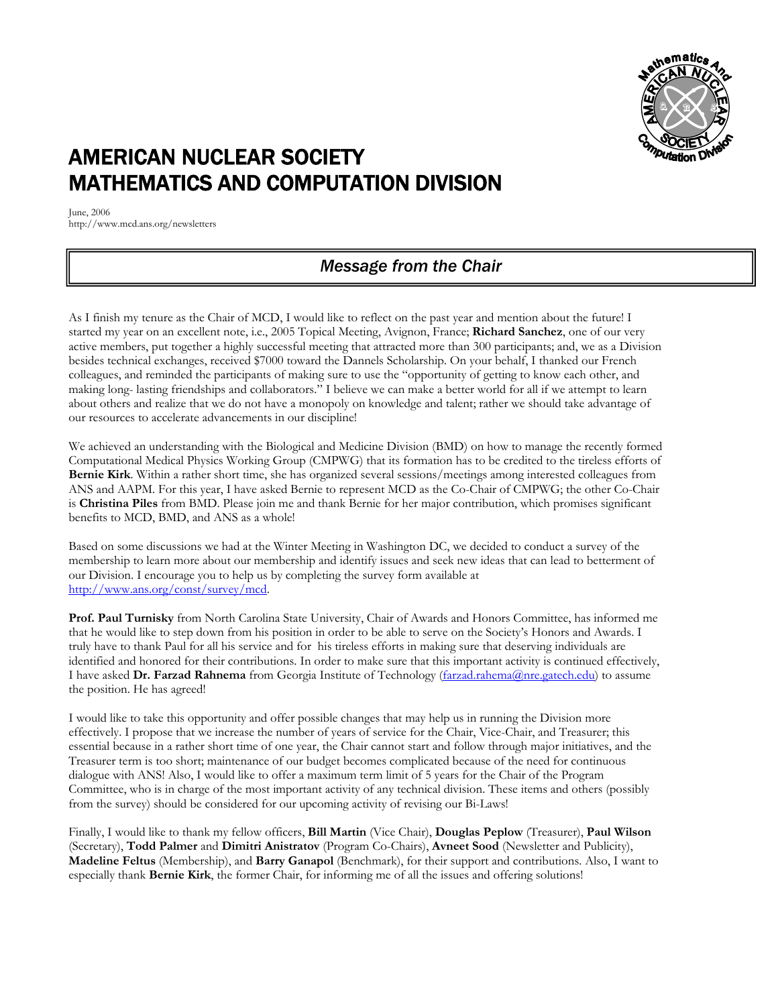

# AMERICAN NUCLEAR SOCIETY MATHEMATICS AND COMPUTATION DIVISION

June, 2006 http://www.mcd.ans.org/newsletters

# *Message from the Chair*

As I finish my tenure as the Chair of MCD, I would like to reflect on the past year and mention about the future! I started my year on an excellent note, i.e., 2005 Topical Meeting, Avignon, France; **Richard Sanchez**, one of our very active members, put together a highly successful meeting that attracted more than 300 participants; and, we as a Division besides technical exchanges, received \$7000 toward the Dannels Scholarship. On your behalf, I thanked our French colleagues, and reminded the participants of making sure to use the "opportunity of getting to know each other, and making long- lasting friendships and collaborators." I believe we can make a better world for all if we attempt to learn about others and realize that we do not have a monopoly on knowledge and talent; rather we should take advantage of our resources to accelerate advancements in our discipline!

We achieved an understanding with the Biological and Medicine Division (BMD) on how to manage the recently formed Computational Medical Physics Working Group (CMPWG) that its formation has to be credited to the tireless efforts of **Bernie Kirk**. Within a rather short time, she has organized several sessions/meetings among interested colleagues from ANS and AAPM. For this year, I have asked Bernie to represent MCD as the Co-Chair of CMPWG; the other Co-Chair is **Christina Piles** from BMD. Please join me and thank Bernie for her major contribution, which promises significant benefits to MCD, BMD, and ANS as a whole!

Based on some discussions we had at the Winter Meeting in Washington DC, we decided to conduct a survey of the membership to learn more about our membership and identify issues and seek new ideas that can lead to betterment of our Division. I encourage you to help us by completing the survey form available at http://www.ans.org/const/survey/mcd.

**Prof. Paul Turnisky** from North Carolina State University, Chair of Awards and Honors Committee, has informed me that he would like to step down from his position in order to be able to serve on the Society's Honors and Awards. I truly have to thank Paul for all his service and for his tireless efforts in making sure that deserving individuals are identified and honored for their contributions. In order to make sure that this important activity is continued effectively, I have asked **Dr. Farzad Rahnema** from Georgia Institute of Technology (farzad.rahema@nre.gatech.edu) to assume the position. He has agreed!

I would like to take this opportunity and offer possible changes that may help us in running the Division more effectively. I propose that we increase the number of years of service for the Chair, Vice-Chair, and Treasurer; this essential because in a rather short time of one year, the Chair cannot start and follow through major initiatives, and the Treasurer term is too short; maintenance of our budget becomes complicated because of the need for continuous dialogue with ANS! Also, I would like to offer a maximum term limit of 5 years for the Chair of the Program Committee, who is in charge of the most important activity of any technical division. These items and others (possibly from the survey) should be considered for our upcoming activity of revising our Bi-Laws!

Finally, I would like to thank my fellow officers, **Bill Martin** (Vice Chair), **Douglas Peplow** (Treasurer), **Paul Wilson** (Secretary), **Todd Palmer** and **Dimitri Anistratov** (Program Co-Chairs), **Avneet Sood** (Newsletter and Publicity), **Madeline Feltus** (Membership), and **Barry Ganapol** (Benchmark), for their support and contributions. Also, I want to especially thank **Bernie Kirk**, the former Chair, for informing me of all the issues and offering solutions!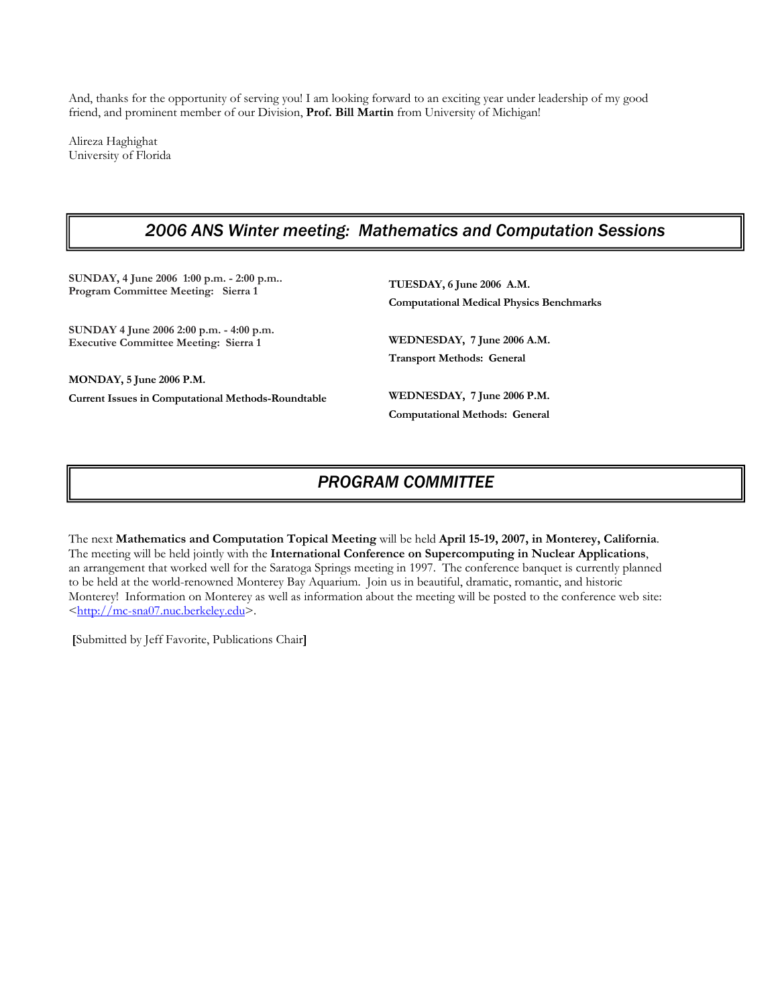And, thanks for the opportunity of serving you! I am looking forward to an exciting year under leadership of my good friend, and prominent member of our Division, **Prof. Bill Martin** from University of Michigan!

Alireza Haghighat University of Florida

### *2006 ANS Winter meeting: Mathematics and Computation Sessions*

**SUNDAY, 4 June 2006 1:00 p.m. - 2:00 p.m.. Program Committee Meeting: Sierra 1** 

**SUNDAY 4 June 2006 2:00 p.m. - 4:00 p.m. Executive Committee Meeting: Sierra 1**

**MONDAY, 5 June 2006 P.M.** 

**Current Issues in Computational Methods-Roundtable** 

**TUESDAY, 6 June 2006 A.M. Computational Medical Physics Benchmarks** 

**WEDNESDAY, 7 June 2006 A.M. Transport Methods: General** 

**WEDNESDAY, 7 June 2006 P.M. Computational Methods: General** 

## *PROGRAM COMMITTEE*

The next **Mathematics and Computation Topical Meeting** will be held **April 15-19, 2007, in Monterey, California**. The meeting will be held jointly with the **International Conference on Supercomputing in Nuclear Applications**, an arrangement that worked well for the Saratoga Springs meeting in 1997. The conference banquet is currently planned to be held at the world-renowned Monterey Bay Aquarium. Join us in beautiful, dramatic, romantic, and historic Monterey! Information on Monterey as well as information about the meeting will be posted to the conference web site: <http://mc-sna07.nuc.berkeley.edu>.

 **[**Submitted by Jeff Favorite, Publications Chair**]**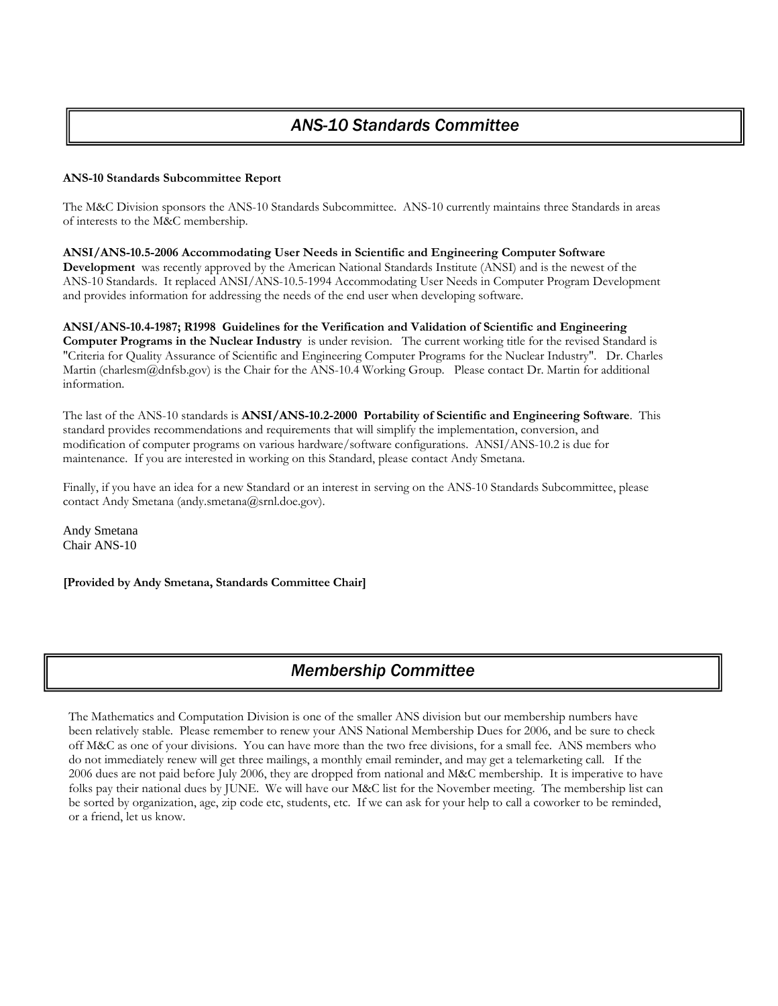### **ANS-10 Standards Subcommittee Report**

The M&C Division sponsors the ANS-10 Standards Subcommittee. ANS-10 currently maintains three Standards in areas of interests to the M&C membership.

**ANSI/ANS-10.5-2006 Accommodating User Needs in Scientific and Engineering Computer Software Development** was recently approved by the American National Standards Institute (ANSI) and is the newest of the ANS-10 Standards. It replaced ANSI/ANS-10.5-1994 Accommodating User Needs in Computer Program Development and provides information for addressing the needs of the end user when developing software.

**ANSI/ANS-10.4-1987; R1998 Guidelines for the Verification and Validation of Scientific and Engineering Computer Programs in the Nuclear Industry** is under revision. The current working title for the revised Standard is "Criteria for Quality Assurance of Scientific and Engineering Computer Programs for the Nuclear Industry". Dr. Charles Martin (charlesm@dnfsb.gov) is the Chair for the ANS-10.4 Working Group. Please contact Dr. Martin for additional information.

The last of the ANS-10 standards is **ANSI/ANS-10.2-2000 Portability of Scientific and Engineering Software**. This standard provides recommendations and requirements that will simplify the implementation, conversion, and modification of computer programs on various hardware/software configurations. ANSI/ANS-10.2 is due for maintenance. If you are interested in working on this Standard, please contact Andy Smetana.

Finally, if you have an idea for a new Standard or an interest in serving on the ANS-10 Standards Subcommittee, please contact Andy Smetana (andy.smetana@srnl.doe.gov).

Andy Smetana Chair ANS-10

**[Provided by Andy Smetana, Standards Committee Chair]** 

## *Membership Committee*

The Mathematics and Computation Division is one of the smaller ANS division but our membership numbers have been relatively stable. Please remember to renew your ANS National Membership Dues for 2006, and be sure to check off M&C as one of your divisions. You can have more than the two free divisions, for a small fee. ANS members who do not immediately renew will get three mailings, a monthly email reminder, and may get a telemarketing call. If the 2006 dues are not paid before July 2006, they are dropped from national and M&C membership. It is imperative to have folks pay their national dues by JUNE. We will have our M&C list for the November meeting. The membership list can be sorted by organization, age, zip code etc, students, etc. If we can ask for your help to call a coworker to be reminded, or a friend, let us know.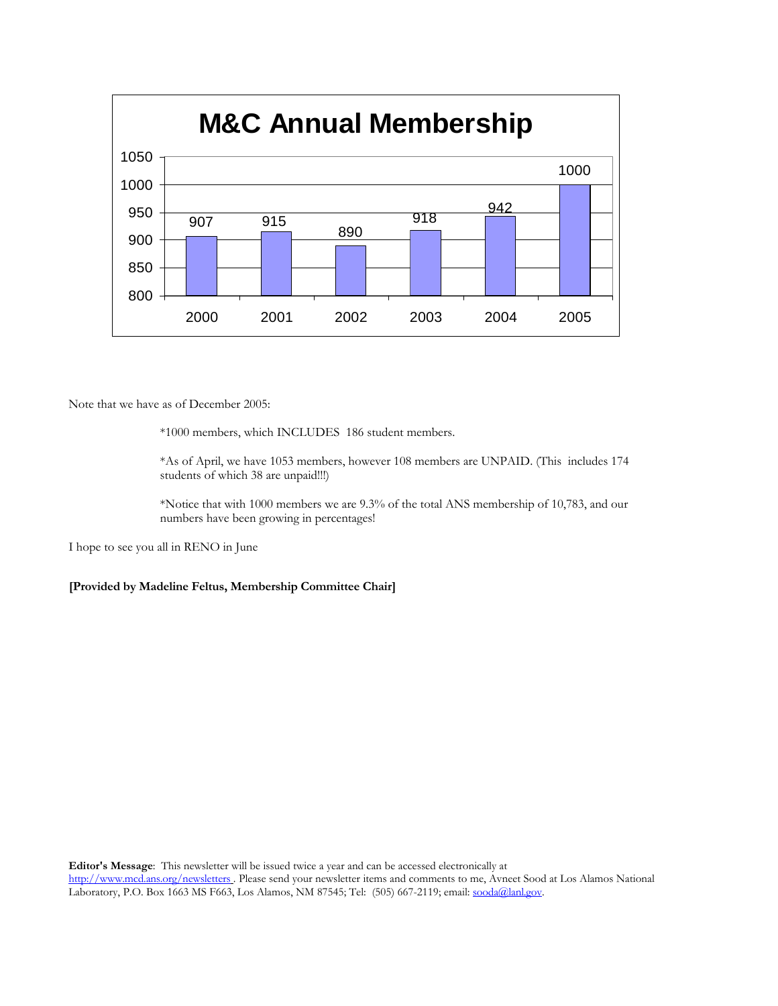

Note that we have as of December 2005:

\*1000 members, which INCLUDES 186 student members.

\*As of April, we have 1053 members, however 108 members are UNPAID. (This includes 174 students of which 38 are unpaid!!!)

\*Notice that with 1000 members we are 9.3% of the total ANS membership of 10,783, and our numbers have been growing in percentages!

I hope to see you all in RENO in June

**[Provided by Madeline Feltus, Membership Committee Chair]**

**Editor's Message**: This newsletter will be issued twice a year and can be accessed electronically at

http://www.mcd.ans.org/newsletters . Please send your newsletter items and comments to me, Avneet Sood at Los Alamos National Laboratory, P.O. Box 1663 MS F663, Los Alamos, NM 87545; Tel: (505) 667-2119; email: sooda@lanl.gov.